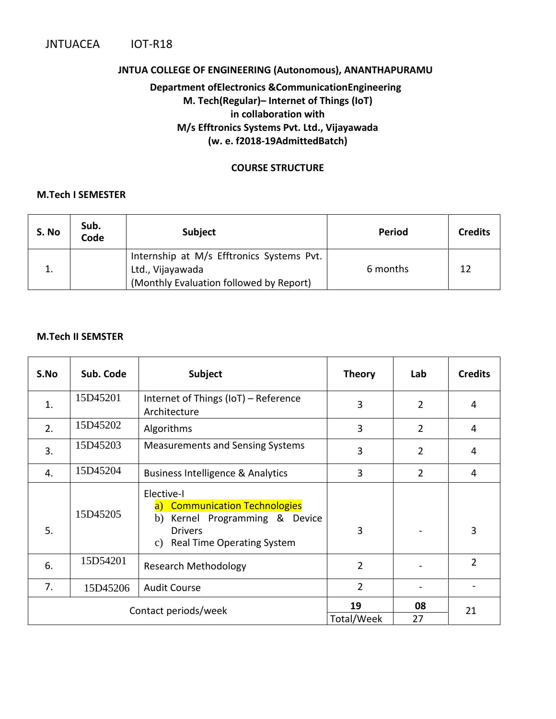#### **JNTUA COLLEGE OF ENGINEERING (Autonomous), ANANTHAPURAMU**

### **Department ofElectronics &CommunicationEngineering M. Tech(Regular)***–* **Internet of Things (IoT) in collaboration with M/s Efftronics Systems Pvt. Ltd., Vijayawada (w. e. f2018-19AdmittedBatch)**

#### **COURSE STRUCTURE**

#### **M.Tech I SEMESTER**

| S. No | Sub.<br>Code | <b>Subject</b>                                                                                           | <b>Period</b> | <b>Credits</b> |
|-------|--------------|----------------------------------------------------------------------------------------------------------|---------------|----------------|
|       |              | Internship at M/s Efftronics Systems Pvt.<br>Ltd., Vijayawada<br>(Monthly Evaluation followed by Report) | 6 months      | 12             |

#### **M.Tech II SEMSTER**

| S.No                 | Sub. Code | <b>Subject</b>                                                                                                                                | <b>Theory</b>  | Lab            | <b>Credits</b> |
|----------------------|-----------|-----------------------------------------------------------------------------------------------------------------------------------------------|----------------|----------------|----------------|
| 1.                   | 15D45201  | Internet of Things (IoT) - Reference<br>Architecture                                                                                          | 3              | $\overline{2}$ | 4              |
| 2.                   | 15D45202  | Algorithms                                                                                                                                    | 3              | $\overline{2}$ | 4              |
| 3.                   | 15D45203  | <b>Measurements and Sensing Systems</b>                                                                                                       | 3              | $\overline{2}$ | 4              |
| 4.                   | 15D45204  | Business Intelligence & Analytics                                                                                                             | 3              | $\overline{2}$ | $\overline{4}$ |
| 5.                   | 15D45205  | Elective-I<br>a) Communication Technologies<br>Kernel Programming & Device<br>b)<br><b>Drivers</b><br><b>Real Time Operating System</b><br>C) | 3              |                | 3              |
| 6.                   | 15D54201  | <b>Research Methodology</b>                                                                                                                   | $\overline{2}$ |                | $\overline{2}$ |
| 7.                   | 15D45206  | <b>Audit Course</b>                                                                                                                           | $\overline{2}$ |                |                |
| Contact periods/week |           | 19                                                                                                                                            | 08             | 21             |                |
|                      |           |                                                                                                                                               | Total/Week     | 27             |                |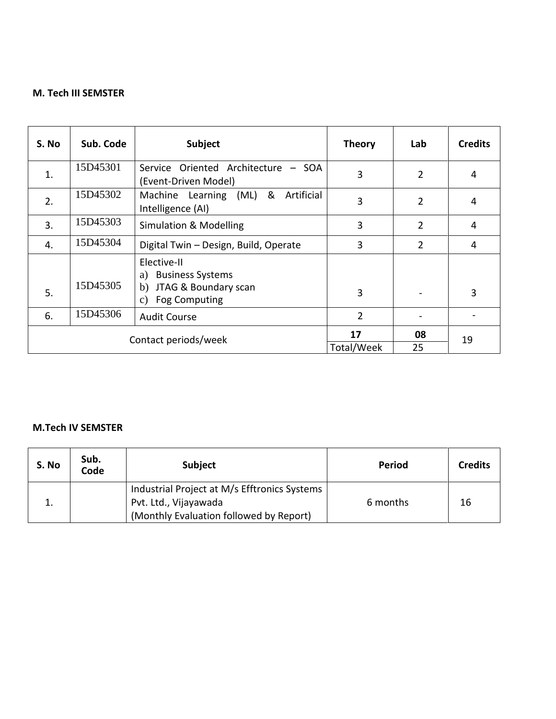### **M. Tech III SEMSTER**

| S. No                | Sub. Code | Subject                                                                                                               | <b>Theory</b>  | Lab            | <b>Credits</b> |
|----------------------|-----------|-----------------------------------------------------------------------------------------------------------------------|----------------|----------------|----------------|
| 1.                   | 15D45301  | Service Oriented Architecture - SOA<br>(Event-Driven Model)                                                           | 3              | $\overline{2}$ | $\overline{4}$ |
| 2.                   | 15D45302  | &<br>(ML)<br>Artificial<br>Machine Learning<br>Intelligence (AI)                                                      | 3              | $\overline{2}$ | $\overline{4}$ |
| 3.                   | 15D45303  | <b>Simulation &amp; Modelling</b>                                                                                     | 3              | 2              | $\overline{4}$ |
| 4.                   | 15D45304  | Digital Twin - Design, Build, Operate                                                                                 | 3              | 2              | $\overline{4}$ |
| 5.                   | 15D45305  | Elective-II<br><b>Business Systems</b><br>a)<br>JTAG & Boundary scan<br>b)<br><b>Fog Computing</b><br>$\mathcal{C}$ ) | 3              |                | 3              |
| 6.                   | 15D45306  | <b>Audit Course</b>                                                                                                   | $\overline{2}$ |                |                |
| Contact periods/week |           | 17                                                                                                                    | 08             | 19             |                |
|                      |           | Total/Week                                                                                                            | 25             |                |                |

#### **M.Tech IV SEMSTER**

| S. No | Sub.<br>Code | <b>Subject</b>                                                                                                   | Period   | <b>Credits</b> |
|-------|--------------|------------------------------------------------------------------------------------------------------------------|----------|----------------|
|       |              | Industrial Project at M/s Efftronics Systems<br>Pvt. Ltd., Vijayawada<br>(Monthly Evaluation followed by Report) | 6 months | 16             |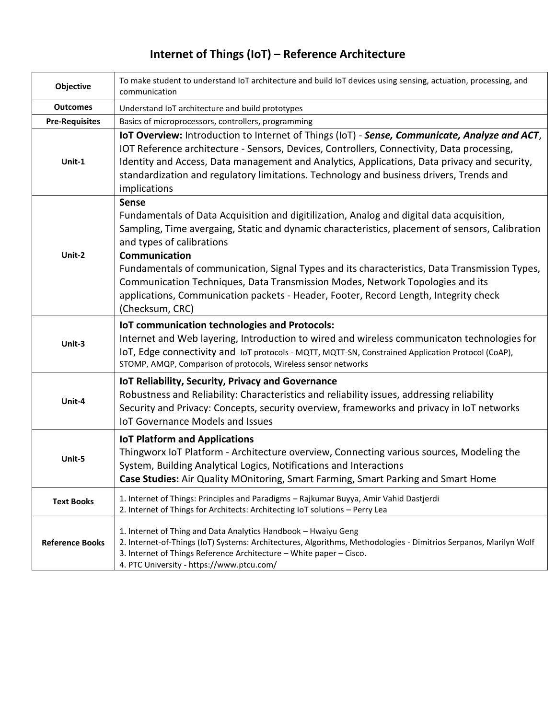# **Internet of Things (IoT) – Reference Architecture**

| Objective              | To make student to understand IoT architecture and build IoT devices using sensing, actuation, processing, and<br>communication                                                                                                                                                                                                                                                                                                                                                                                                                         |
|------------------------|---------------------------------------------------------------------------------------------------------------------------------------------------------------------------------------------------------------------------------------------------------------------------------------------------------------------------------------------------------------------------------------------------------------------------------------------------------------------------------------------------------------------------------------------------------|
| <b>Outcomes</b>        | Understand IoT architecture and build prototypes                                                                                                                                                                                                                                                                                                                                                                                                                                                                                                        |
| <b>Pre-Requisites</b>  | Basics of microprocessors, controllers, programming                                                                                                                                                                                                                                                                                                                                                                                                                                                                                                     |
| Unit-1                 | IoT Overview: Introduction to Internet of Things (IoT) - Sense, Communicate, Analyze and ACT,<br>IOT Reference architecture - Sensors, Devices, Controllers, Connectivity, Data processing,<br>Identity and Access, Data management and Analytics, Applications, Data privacy and security,<br>standardization and regulatory limitations. Technology and business drivers, Trends and<br>implications                                                                                                                                                  |
| Unit-2                 | <b>Sense</b><br>Fundamentals of Data Acquisition and digitilization, Analog and digital data acquisition,<br>Sampling, Time avergaing, Static and dynamic characteristics, placement of sensors, Calibration<br>and types of calibrations<br>Communication<br>Fundamentals of communication, Signal Types and its characteristics, Data Transmission Types,<br>Communication Techniques, Data Transmission Modes, Network Topologies and its<br>applications, Communication packets - Header, Footer, Record Length, Integrity check<br>(Checksum, CRC) |
| Unit-3                 | <b>IoT communication technologies and Protocols:</b><br>Internet and Web layering, Introduction to wired and wireless communicaton technologies for<br>IoT, Edge connectivity and IoT protocols - MQTT, MQTT-SN, Constrained Application Protocol (CoAP),<br>STOMP, AMQP, Comparison of protocols, Wireless sensor networks                                                                                                                                                                                                                             |
| Unit-4                 | IoT Reliability, Security, Privacy and Governance<br>Robustness and Reliability: Characteristics and reliability issues, addressing reliability<br>Security and Privacy: Concepts, security overview, frameworks and privacy in IoT networks<br><b>IoT Governance Models and Issues</b>                                                                                                                                                                                                                                                                 |
| Unit-5                 | <b>IoT Platform and Applications</b><br>Thingworx IoT Platform - Architecture overview, Connecting various sources, Modeling the<br>System, Building Analytical Logics, Notifications and Interactions<br>Case Studies: Air Quality MOnitoring, Smart Farming, Smart Parking and Smart Home                                                                                                                                                                                                                                                             |
| <b>Text Books</b>      | 1. Internet of Things: Principles and Paradigms - Rajkumar Buyya, Amir Vahid Dastjerdi<br>2. Internet of Things for Architects: Architecting IoT solutions - Perry Lea                                                                                                                                                                                                                                                                                                                                                                                  |
| <b>Reference Books</b> | 1. Internet of Thing and Data Analytics Handbook - Hwaiyu Geng<br>2. Internet-of-Things (IoT) Systems: Architectures, Algorithms, Methodologies - Dimitrios Serpanos, Marilyn Wolf<br>3. Internet of Things Reference Architecture - White paper - Cisco.<br>4. PTC University - https://www.ptcu.com/                                                                                                                                                                                                                                                  |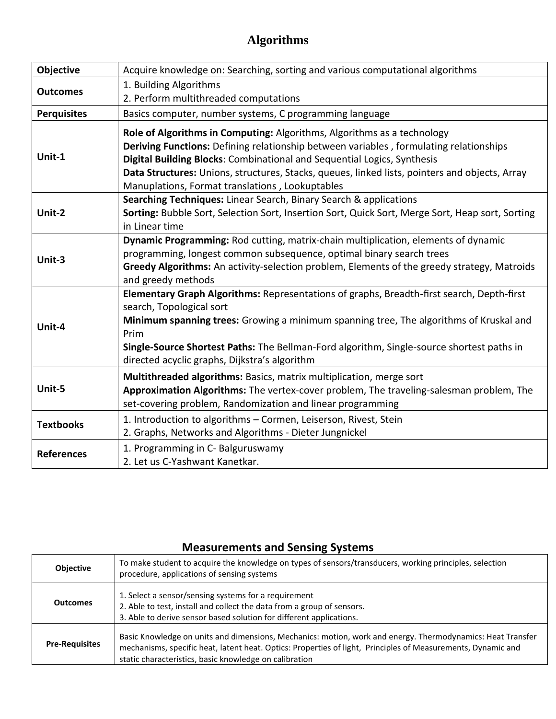## **Algorithms**

| Objective          | Acquire knowledge on: Searching, sorting and various computational algorithms                                                                                                                                                                                                                                                                                                                     |
|--------------------|---------------------------------------------------------------------------------------------------------------------------------------------------------------------------------------------------------------------------------------------------------------------------------------------------------------------------------------------------------------------------------------------------|
| <b>Outcomes</b>    | 1. Building Algorithms<br>2. Perform multithreaded computations                                                                                                                                                                                                                                                                                                                                   |
| <b>Perquisites</b> | Basics computer, number systems, C programming language                                                                                                                                                                                                                                                                                                                                           |
| Unit-1             | Role of Algorithms in Computing: Algorithms, Algorithms as a technology<br>Deriving Functions: Defining relationship between variables, formulating relationships<br>Digital Building Blocks: Combinational and Sequential Logics, Synthesis<br>Data Structures: Unions, structures, Stacks, queues, linked lists, pointers and objects, Array<br>Manuplations, Format translations, Lookuptables |
| Unit-2             | Searching Techniques: Linear Search, Binary Search & applications<br>Sorting: Bubble Sort, Selection Sort, Insertion Sort, Quick Sort, Merge Sort, Heap sort, Sorting<br>in Linear time                                                                                                                                                                                                           |
| Unit-3             | Dynamic Programming: Rod cutting, matrix-chain multiplication, elements of dynamic<br>programming, longest common subsequence, optimal binary search trees<br>Greedy Algorithms: An activity-selection problem, Elements of the greedy strategy, Matroids<br>and greedy methods                                                                                                                   |
| Unit-4             | Elementary Graph Algorithms: Representations of graphs, Breadth-first search, Depth-first<br>search, Topological sort<br>Minimum spanning trees: Growing a minimum spanning tree, The algorithms of Kruskal and<br>Prim<br>Single-Source Shortest Paths: The Bellman-Ford algorithm, Single-source shortest paths in<br>directed acyclic graphs, Dijkstra's algorithm                             |
| Unit-5             | Multithreaded algorithms: Basics, matrix multiplication, merge sort<br>Approximation Algorithms: The vertex-cover problem, The traveling-salesman problem, The<br>set-covering problem, Randomization and linear programming                                                                                                                                                                      |
| <b>Textbooks</b>   | 1. Introduction to algorithms - Cormen, Leiserson, Rivest, Stein<br>2. Graphs, Networks and Algorithms - Dieter Jungnickel                                                                                                                                                                                                                                                                        |
| <b>References</b>  | 1. Programming in C- Balguruswamy<br>2. Let us C-Yashwant Kanetkar.                                                                                                                                                                                                                                                                                                                               |

## **Measurements and Sensing Systems**

| <b>Objective</b>      | To make student to acquire the knowledge on types of sensors/transducers, working principles, selection<br>procedure, applications of sensing systems                                                                                                                                |
|-----------------------|--------------------------------------------------------------------------------------------------------------------------------------------------------------------------------------------------------------------------------------------------------------------------------------|
| <b>Outcomes</b>       | 1. Select a sensor/sensing systems for a requirement<br>2. Able to test, install and collect the data from a group of sensors.<br>3. Able to derive sensor based solution for different applications.                                                                                |
| <b>Pre-Requisites</b> | Basic Knowledge on units and dimensions, Mechanics: motion, work and energy. Thermodynamics: Heat Transfer<br>mechanisms, specific heat, latent heat. Optics: Properties of light, Principles of Measurements, Dynamic and<br>static characteristics, basic knowledge on calibration |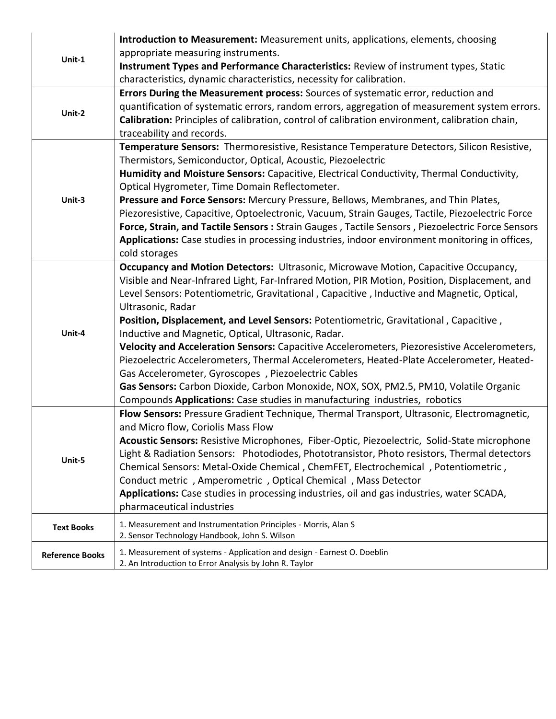| Unit-1                 | <b>Introduction to Measurement:</b> Measurement units, applications, elements, choosing<br>appropriate measuring instruments.<br>Instrument Types and Performance Characteristics: Review of instrument types, Static                                                                                                                                                                                                                                                                                                                                                                                                                                                                                                                                                                                                                                                              |
|------------------------|------------------------------------------------------------------------------------------------------------------------------------------------------------------------------------------------------------------------------------------------------------------------------------------------------------------------------------------------------------------------------------------------------------------------------------------------------------------------------------------------------------------------------------------------------------------------------------------------------------------------------------------------------------------------------------------------------------------------------------------------------------------------------------------------------------------------------------------------------------------------------------|
| Unit-2                 | characteristics, dynamic characteristics, necessity for calibration.<br>Errors During the Measurement process: Sources of systematic error, reduction and<br>quantification of systematic errors, random errors, aggregation of measurement system errors.<br>Calibration: Principles of calibration, control of calibration environment, calibration chain,<br>traceability and records.                                                                                                                                                                                                                                                                                                                                                                                                                                                                                          |
| Unit-3                 | Temperature Sensors: Thermoresistive, Resistance Temperature Detectors, Silicon Resistive,<br>Thermistors, Semiconductor, Optical, Acoustic, Piezoelectric<br>Humidity and Moisture Sensors: Capacitive, Electrical Conductivity, Thermal Conductivity,<br>Optical Hygrometer, Time Domain Reflectometer.<br>Pressure and Force Sensors: Mercury Pressure, Bellows, Membranes, and Thin Plates,<br>Piezoresistive, Capacitive, Optoelectronic, Vacuum, Strain Gauges, Tactile, Piezoelectric Force<br>Force, Strain, and Tactile Sensors : Strain Gauges, Tactile Sensors, Piezoelectric Force Sensors<br>Applications: Case studies in processing industries, indoor environment monitoring in offices,<br>cold storages                                                                                                                                                          |
| Unit-4                 | Occupancy and Motion Detectors: Ultrasonic, Microwave Motion, Capacitive Occupancy,<br>Visible and Near-Infrared Light, Far-Infrared Motion, PIR Motion, Position, Displacement, and<br>Level Sensors: Potentiometric, Gravitational, Capacitive, Inductive and Magnetic, Optical,<br>Ultrasonic, Radar<br>Position, Displacement, and Level Sensors: Potentiometric, Gravitational, Capacitive,<br>Inductive and Magnetic, Optical, Ultrasonic, Radar.<br>Velocity and Acceleration Sensors: Capacitive Accelerometers, Piezoresistive Accelerometers,<br>Piezoelectric Accelerometers, Thermal Accelerometers, Heated-Plate Accelerometer, Heated-<br>Gas Accelerometer, Gyroscopes, Piezoelectric Cables<br>Gas Sensors: Carbon Dioxide, Carbon Monoxide, NOX, SOX, PM2.5, PM10, Volatile Organic<br>Compounds Applications: Case studies in manufacturing industries, robotics |
| Unit-5                 | Flow Sensors: Pressure Gradient Technique, Thermal Transport, Ultrasonic, Electromagnetic,<br>and Micro flow, Coriolis Mass Flow<br>Acoustic Sensors: Resistive Microphones, Fiber-Optic, Piezoelectric, Solid-State microphone<br>Light & Radiation Sensors: Photodiodes, Phototransistor, Photo resistors, Thermal detectors<br>Chemical Sensors: Metal-Oxide Chemical, ChemFET, Electrochemical, Potentiometric,<br>Conduct metric, Amperometric, Optical Chemical, Mass Detector<br>Applications: Case studies in processing industries, oil and gas industries, water SCADA,<br>pharmaceutical industries                                                                                                                                                                                                                                                                     |
| <b>Text Books</b>      | 1. Measurement and Instrumentation Principles - Morris, Alan S<br>2. Sensor Technology Handbook, John S. Wilson                                                                                                                                                                                                                                                                                                                                                                                                                                                                                                                                                                                                                                                                                                                                                                    |
| <b>Reference Books</b> | 1. Measurement of systems - Application and design - Earnest O. Doeblin<br>2. An Introduction to Error Analysis by John R. Taylor                                                                                                                                                                                                                                                                                                                                                                                                                                                                                                                                                                                                                                                                                                                                                  |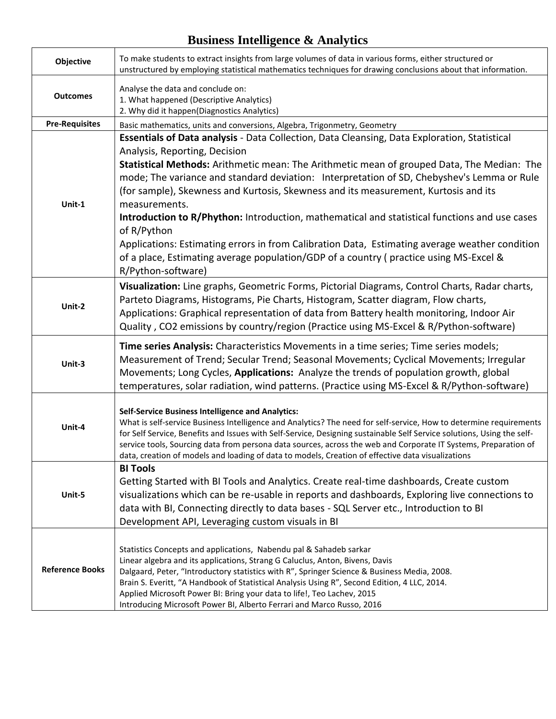## **Business Intelligence & Analytics**

| Objective              | To make students to extract insights from large volumes of data in various forms, either structured or<br>unstructured by employing statistical mathematics techniques for drawing conclusions about that information.                                                                                                                                                                                                                                                                                                                                                                                                                                                                                                                                                    |
|------------------------|---------------------------------------------------------------------------------------------------------------------------------------------------------------------------------------------------------------------------------------------------------------------------------------------------------------------------------------------------------------------------------------------------------------------------------------------------------------------------------------------------------------------------------------------------------------------------------------------------------------------------------------------------------------------------------------------------------------------------------------------------------------------------|
| <b>Outcomes</b>        | Analyse the data and conclude on:<br>1. What happened (Descriptive Analytics)<br>2. Why did it happen(Diagnostics Analytics)                                                                                                                                                                                                                                                                                                                                                                                                                                                                                                                                                                                                                                              |
| <b>Pre-Requisites</b>  | Basic mathematics, units and conversions, Algebra, Trigonmetry, Geometry                                                                                                                                                                                                                                                                                                                                                                                                                                                                                                                                                                                                                                                                                                  |
| Unit-1                 | <b>Essentials of Data analysis</b> - Data Collection, Data Cleansing, Data Exploration, Statistical<br>Analysis, Reporting, Decision<br>Statistical Methods: Arithmetic mean: The Arithmetic mean of grouped Data, The Median: The<br>mode; The variance and standard deviation: Interpretation of SD, Chebyshev's Lemma or Rule<br>(for sample), Skewness and Kurtosis, Skewness and its measurement, Kurtosis and its<br>measurements.<br>Introduction to R/Phython: Introduction, mathematical and statistical functions and use cases<br>of R/Python<br>Applications: Estimating errors in from Calibration Data, Estimating average weather condition<br>of a place, Estimating average population/GDP of a country (practice using MS-Excel &<br>R/Python-software) |
| Unit-2                 | Visualization: Line graphs, Geometric Forms, Pictorial Diagrams, Control Charts, Radar charts,<br>Parteto Diagrams, Histograms, Pie Charts, Histogram, Scatter diagram, Flow charts,<br>Applications: Graphical representation of data from Battery health monitoring, Indoor Air<br>Quality, CO2 emissions by country/region (Practice using MS-Excel & R/Python-software)                                                                                                                                                                                                                                                                                                                                                                                               |
| Unit-3                 | Time series Analysis: Characteristics Movements in a time series; Time series models;<br>Measurement of Trend; Secular Trend; Seasonal Movements; Cyclical Movements; Irregular<br>Movements; Long Cycles, Applications: Analyze the trends of population growth, global<br>temperatures, solar radiation, wind patterns. (Practice using MS-Excel & R/Python-software)                                                                                                                                                                                                                                                                                                                                                                                                   |
| Unit-4                 | <b>Self-Service Business Intelligence and Analytics:</b><br>What is self-service Business Intelligence and Analytics? The need for self-service, How to determine requirements<br>for Self Service, Benefits and Issues with Self-Service, Designing sustainable Self Service solutions, Using the self-<br>service tools, Sourcing data from persona data sources, across the web and Corporate IT Systems, Preparation of<br>data, creation of models and loading of data to models, Creation of effective data visualizations                                                                                                                                                                                                                                          |
| Unit-5                 | <b>BI Tools</b><br>Getting Started with BI Tools and Analytics. Create real-time dashboards, Create custom<br>visualizations which can be re-usable in reports and dashboards, Exploring live connections to<br>data with BI, Connecting directly to data bases - SQL Server etc., Introduction to BI<br>Development API, Leveraging custom visuals in BI                                                                                                                                                                                                                                                                                                                                                                                                                 |
| <b>Reference Books</b> | Statistics Concepts and applications, Nabendu pal & Sahadeb sarkar<br>Linear algebra and its applications, Strang G Caluclus, Anton, Bivens, Davis<br>Dalgaard, Peter, "Introductory statistics with R", Springer Science & Business Media, 2008.<br>Brain S. Everitt, "A Handbook of Statistical Analysis Using R", Second Edition, 4 LLC, 2014.<br>Applied Microsoft Power BI: Bring your data to life!, Teo Lachev, 2015<br>Introducing Microsoft Power BI, Alberto Ferrari and Marco Russo, 2016                                                                                                                                                                                                                                                                      |